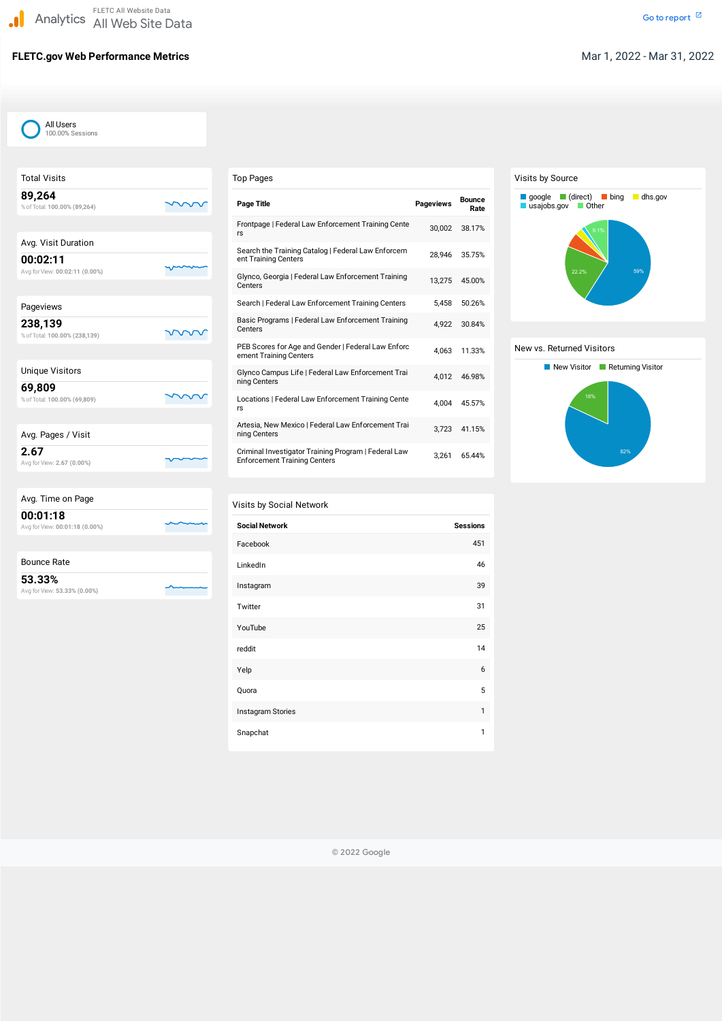# **FLETC.gov Web Performance Metrics Mar 1, 2022 - Mar 31, 2022**

| <b>Total Visits</b>                        |  |
|--------------------------------------------|--|
| 89,264<br>% of Total: 100.00% (89,264)     |  |
|                                            |  |
| Avg. Visit Duration                        |  |
| 00:02:11<br>Avg for View: 00:02:11 (0.00%) |  |
|                                            |  |
| Pageviews                                  |  |
| 238,139<br>% of Total: 100.00% (238,139)   |  |
|                                            |  |
| <b>Unique Visitors</b>                     |  |
| 69,809<br>% of Total: 100.00% (69,809)     |  |
|                                            |  |
| Avg. Pages / Visit                         |  |
| 2.67<br>Avg for View: 2.67 (0.00%)         |  |

| Avg. Time on Page                          |  |
|--------------------------------------------|--|
| 00:01:18<br>Avg for View: 00:01:18 (0.00%) |  |
|                                            |  |
| Bounce Rate                                |  |

Avg forView: **53.33% (0.00%)**

| Instagram Stories |  |
|-------------------|--|
| Snapchat          |  |

| <b>Top Pages</b>                                                                            |                  |                       |
|---------------------------------------------------------------------------------------------|------------------|-----------------------|
| <b>Page Title</b>                                                                           | <b>Pageviews</b> | <b>Bounce</b><br>Rate |
| Frontpage   Federal Law Enforcement Training Cente<br>rs                                    | 30,002           | 38.17%                |
| Search the Training Catalog   Federal Law Enforcem<br>ent Training Centers                  | 28,946           | 35.75%                |
| Glynco, Georgia   Federal Law Enforcement Training<br>Centers                               | 13,275           | 45.00%                |
| Search   Federal Law Enforcement Training Centers                                           | 5,458            | 50.26%                |
| Basic Programs   Federal Law Enforcement Training<br>Centers                                | 4,922            | 30.84%                |
| PEB Scores for Age and Gender   Federal Law Enforc<br>ement Training Centers                | 4,063            | 11.33%                |
| Glynco Campus Life   Federal Law Enforcement Trai<br>ning Centers                           | 4,012            | 46.98%                |
| Locations   Federal Law Enforcement Training Cente<br>rs                                    | 4,004            | 45.57%                |
| Artesia, New Mexico   Federal Law Enforcement Trai<br>ning Centers                          | 3,723            | 41.15%                |
| Criminal Investigator Training Program   Federal Law<br><b>Enforcement Training Centers</b> | 3,261            | 65.44%                |

## Visits by Social Network

| <b>Social Network</b> | <b>Sessions</b> |
|-----------------------|-----------------|
| Facebook              | 451             |
| LinkedIn              | 46              |
| Instagram             | 39              |
| Twitter               | 31              |
| YouTube               | 25              |
| reddit                | 14              |
| Yelp                  | 6               |
| Quora                 | 5               |

### Visits by Source

#### New vs. Returned Visitors





© 2022 Google

All Users 100.00% Sessions